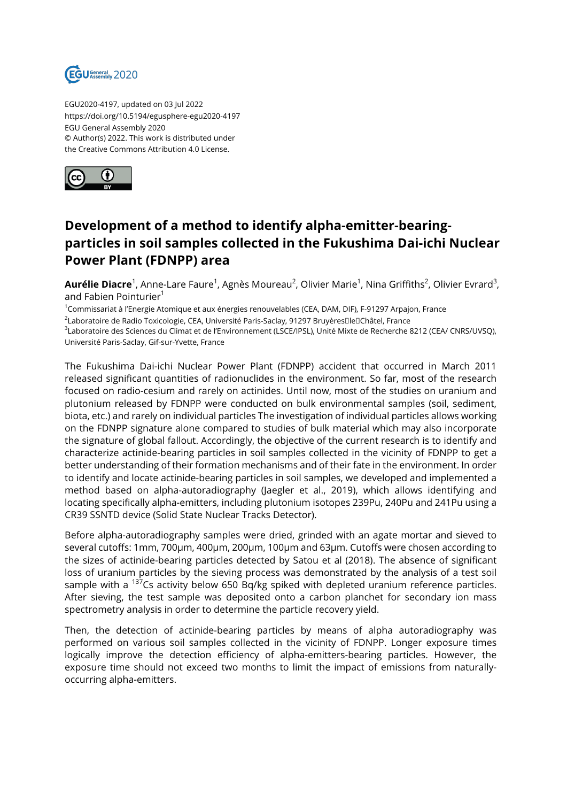

EGU2020-4197, updated on 03 Jul 2022 https://doi.org/10.5194/egusphere-egu2020-4197 EGU General Assembly 2020 © Author(s) 2022. This work is distributed under the Creative Commons Attribution 4.0 License.



## **Development of a method to identify alpha-emitter-bearingparticles in soil samples collected in the Fukushima Dai-ichi Nuclear Power Plant (FDNPP) area**

**Aurélie Diacre**<sup>1</sup>, Anne-Lare Faure<sup>1</sup>, Agnès Moureau<sup>2</sup>, Olivier Marie<sup>1</sup>, Nina Griffiths<sup>2</sup>, Olivier Evrard<sup>3</sup>, and Fabien Pointurier<sup>1</sup>

<sup>1</sup>Commissariat à l'Energie Atomique et aux énergies renouvelables (CEA, DAM, DIF), F-91297 Arpajon, France

<sup>2</sup>Laboratoire de Radio Toxicologie, CEA, Université Paris-Saclay, 91297 Bruyères□le□Châtel, France

3 Laboratoire des Sciences du Climat et de l'Environnement (LSCE/IPSL), Unité Mixte de Recherche 8212 (CEA/ CNRS/UVSQ), Université Paris-Saclay, Gif-sur-Yvette, France

The Fukushima Dai-ichi Nuclear Power Plant (FDNPP) accident that occurred in March 2011 released significant quantities of radionuclides in the environment. So far, most of the research focused on radio-cesium and rarely on actinides. Until now, most of the studies on uranium and plutonium released by FDNPP were conducted on bulk environmental samples (soil, sediment, biota, etc.) and rarely on individual particles The investigation of individual particles allows working on the FDNPP signature alone compared to studies of bulk material which may also incorporate the signature of global fallout. Accordingly, the objective of the current research is to identify and characterize actinide-bearing particles in soil samples collected in the vicinity of FDNPP to get a better understanding of their formation mechanisms and of their fate in the environment. In order to identify and locate actinide-bearing particles in soil samples, we developed and implemented a method based on alpha-autoradiography (Jaegler et al., 2019), which allows identifying and locating specifically alpha-emitters, including plutonium isotopes 239Pu, 240Pu and 241Pu using a CR39 SSNTD device (Solid State Nuclear Tracks Detector).

Before alpha-autoradiography samples were dried, grinded with an agate mortar and sieved to several cutoffs: 1mm, 700µm, 400µm, 200µm, 100µm and 63µm. Cutoffs were chosen according to the sizes of actinide-bearing particles detected by Satou et al (2018). The absence of significant loss of uranium particles by the sieving process was demonstrated by the analysis of a test soil sample with a  $^{137}$ Cs activity below 650 Bq/kg spiked with depleted uranium reference particles. After sieving, the test sample was deposited onto a carbon planchet for secondary ion mass spectrometry analysis in order to determine the particle recovery yield.

Then, the detection of actinide-bearing particles by means of alpha autoradiography was performed on various soil samples collected in the vicinity of FDNPP. Longer exposure times logically improve the detection efficiency of alpha-emitters-bearing particles. However, the exposure time should not exceed two months to limit the impact of emissions from naturallyoccurring alpha-emitters.